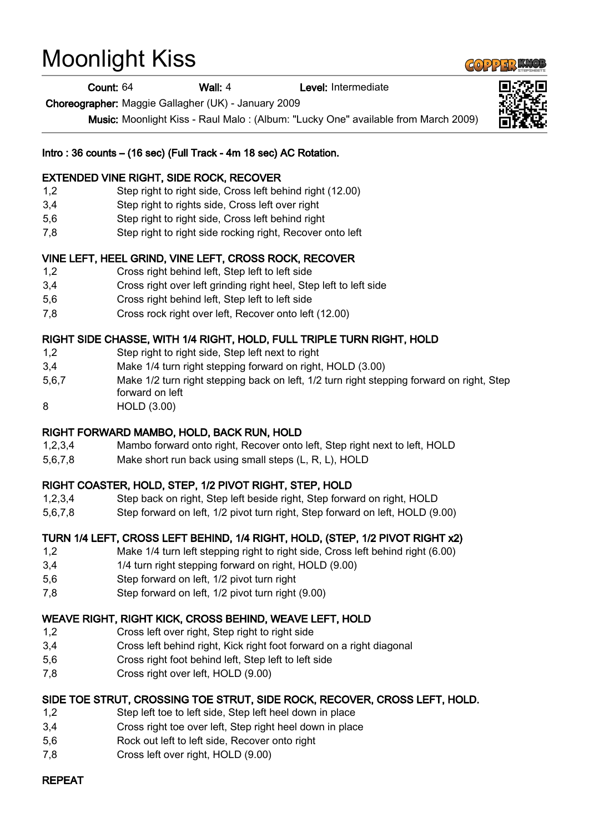# Moonlight Kiss

Count: 64 Wall: 4 Level: Intermediate

Choreographer: Maggie Gallagher (UK) - January 2009

Music: Moonlight Kiss - Raul Malo : (Album: "Lucky One" available from March 2009)

#### Intro : 36 counts – (16 sec) (Full Track - 4m 18 sec) AC Rotation.

#### EXTENDED VINE RIGHT, SIDE ROCK, RECOVER

- 1,2 Step right to right side, Cross left behind right (12.00)
- 3,4 Step right to rights side, Cross left over right
- 5,6 Step right to right side, Cross left behind right
- 7,8 Step right to right side rocking right, Recover onto left

## VINE LEFT, HEEL GRIND, VINE LEFT, CROSS ROCK, RECOVER

- 1,2 Cross right behind left, Step left to left side
- 3,4 Cross right over left grinding right heel, Step left to left side
- 5,6 Cross right behind left, Step left to left side
- 7,8 Cross rock right over left, Recover onto left (12.00)

## RIGHT SIDE CHASSE, WITH 1/4 RIGHT, HOLD, FULL TRIPLE TURN RIGHT, HOLD

- 1,2 Step right to right side, Step left next to right
- 3,4 Make 1/4 turn right stepping forward on right, HOLD (3.00)
- 5,6,7 Make 1/2 turn right stepping back on left, 1/2 turn right stepping forward on right, Step forward on left
- 8 HOLD (3.00)

## RIGHT FORWARD MAMBO, HOLD, BACK RUN, HOLD

- 1,2,3,4 Mambo forward onto right, Recover onto left, Step right next to left, HOLD
- 5,6,7,8 Make short run back using small steps (L, R, L), HOLD

## RIGHT COASTER, HOLD, STEP, 1/2 PIVOT RIGHT, STEP, HOLD

- 1,2,3,4 Step back on right, Step left beside right, Step forward on right, HOLD
- 5,6,7,8 Step forward on left, 1/2 pivot turn right, Step forward on left, HOLD (9.00)

## TURN 1/4 LEFT, CROSS LEFT BEHIND, 1/4 RIGHT, HOLD, (STEP, 1/2 PIVOT RIGHT x2)

- 1,2 Make 1/4 turn left stepping right to right side, Cross left behind right (6.00)
- 3,4 1/4 turn right stepping forward on right, HOLD (9.00)
- 5,6 Step forward on left, 1/2 pivot turn right
- 7,8 Step forward on left, 1/2 pivot turn right (9.00)

## WEAVE RIGHT, RIGHT KICK, CROSS BEHIND, WEAVE LEFT, HOLD

- 1,2 Cross left over right, Step right to right side
- 3,4 Cross left behind right, Kick right foot forward on a right diagonal
- 5,6 Cross right foot behind left, Step left to left side
- 7,8 Cross right over left, HOLD (9.00)

## SIDE TOE STRUT, CROSSING TOE STRUT, SIDE ROCK, RECOVER, CROSS LEFT, HOLD.

- 1,2 Step left toe to left side, Step left heel down in place
- 3,4 Cross right toe over left, Step right heel down in place
- 5,6 Rock out left to left side, Recover onto right
- 7,8 Cross left over right, HOLD (9.00)

# REPEAT